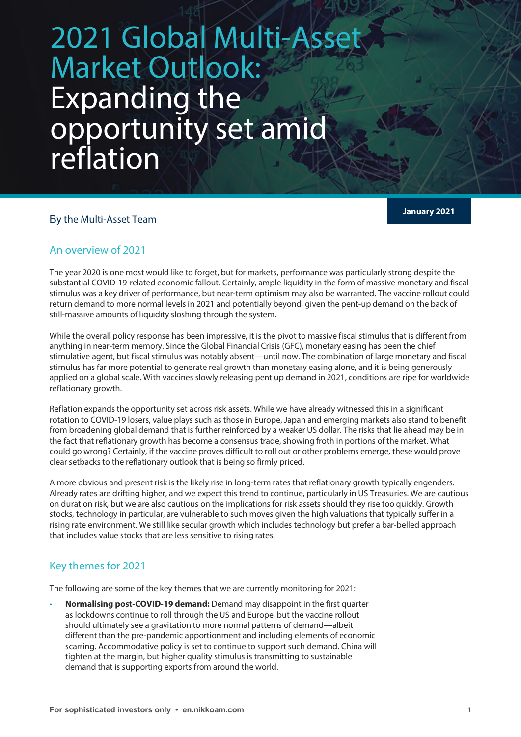# 2021 Global Multi-Asset Market Outlook: Expanding the opportunity set amid reflation

# **January 2021** <sup>B</sup>y the Multi-Asset Team

## An overview of 2021

The year 2020 is one most would like to forget, but for markets, performance was particularly strong despite the substantial COVID-19-related economic fallout. Certainly, ample liquidity in the form of massive monetary and fiscal stimulus was a key driver of performance, but near-term optimism may also be warranted. The vaccine rollout could return demand to more normal levels in 2021 and potentially beyond, given the pent-up demand on the back of still-massive amounts of liquidity sloshing through the system.

While the overall policy response has been impressive, it is the pivot to massive fiscal stimulus that is different from anything in near-term memory. Since the Global Financial Crisis (GFC), monetary easing has been the chief stimulative agent, but fiscal stimulus was notably absent—until now. The combination of large monetary and fiscal stimulus has far more potential to generate real growth than monetary easing alone, and it is being generously applied on a global scale. With vaccines slowly releasing pent up demand in 2021, conditions are ripe for worldwide reflationary growth.

Reflation expands the opportunity set across risk assets. While we have already witnessed this in a significant rotation to COVID-19 losers, value plays such as those in Europe, Japan and emerging markets also stand to benefit from broadening global demand that is further reinforced by a weaker US dollar. The risks that lie ahead may be in the fact that reflationary growth has become a consensus trade, showing froth in portions of the market. What could go wrong? Certainly, if the vaccine proves difficult to roll out or other problems emerge, these would prove clear setbacks to the reflationary outlook that is being so firmly priced.

A more obvious and present risk is the likely rise in long-term rates that reflationary growth typically engenders. Already rates are drifting higher, and we expect this trend to continue, particularly in US Treasuries. We are cautious on duration risk, but we are also cautious on the implications for risk assets should they rise too quickly. Growth stocks, technology in particular, are vulnerable to such moves given the high valuations that typically suffer in a rising rate environment. We still like secular growth which includes technology but prefer a bar-belled approach that includes value stocks that are less sensitive to rising rates.

# Key themes for 2021

The following are some of the key themes that we are currently monitoring for 2021:

• **Normalising post-COVID-19 demand:** Demand may disappoint in the first quarter as lockdowns continue to roll through the US and Europe, but the vaccine rollout should ultimately see a gravitation to more normal patterns of demand—albeit different than the pre-pandemic apportionment and including elements of economic scarring. Accommodative policy is set to continue to support such demand. China will tighten at the margin, but higher quality stimulus is transmitting to sustainable demand that is supporting exports from around the world.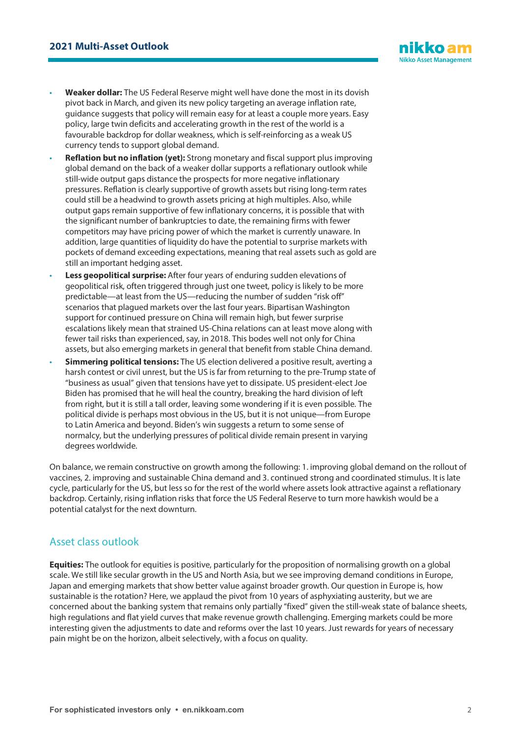

- **Weaker dollar:** The US Federal Reserve might well have done the most in its dovish pivot back in March, and given its new policy targeting an average inflation rate, guidance suggests that policy will remain easy for at least a couple more years. Easy policy, large twin deficits and accelerating growth in the rest of the world is a favourable backdrop for dollar weakness, which is self-reinforcing as a weak US currency tends to support global demand.
- **Reflation but no inflation (yet):** Strong monetary and fiscal support plus improving global demand on the back of a weaker dollar supports a reflationary outlook while still-wide output gaps distance the prospects for more negative inflationary pressures. Reflation is clearly supportive of growth assets but rising long-term rates could still be a headwind to growth assets pricing at high multiples. Also, while output gaps remain supportive of few inflationary concerns, it is possible that with the significant number of bankruptcies to date, the remaining firms with fewer competitors may have pricing power of which the market is currently unaware. In addition, large quantities of liquidity do have the potential to surprise markets with pockets of demand exceeding expectations, meaning that real assets such as gold are still an important hedging asset.
- **Less geopolitical surprise:** After four years of enduring sudden elevations of geopolitical risk, often triggered through just one tweet, policy is likely to be more predictable—at least from the US—reducing the number of sudden "risk off" scenarios that plagued markets over the last four years. Bipartisan Washington support for continued pressure on China will remain high, but fewer surprise escalations likely mean that strained US-China relations can at least move along with fewer tail risks than experienced, say, in 2018. This bodes well not only for China assets, but also emerging markets in general that benefit from stable China demand.
- **Simmering political tensions:** The US election delivered a positive result, averting a harsh contest or civil unrest, but the US is far from returning to the pre-Trump state of "business as usual" given that tensions have yet to dissipate. US president-elect Joe Biden has promised that he will heal the country, breaking the hard division of left from right, but it is still a tall order, leaving some wondering if it is even possible. The political divide is perhaps most obvious in the US, but it is not unique—from Europe to Latin America and beyond. Biden's win suggests a return to some sense of normalcy, but the underlying pressures of political divide remain present in varying degrees worldwide.

On balance, we remain constructive on growth among the following: 1. improving global demand on the rollout of vaccines, 2. improving and sustainable China demand and 3. continued strong and coordinated stimulus. It is late cycle, particularly for the US, but less so for the rest of the world where assets look attractive against a reflationary backdrop. Certainly, rising inflation risks that force the US Federal Reserve to turn more hawkish would be a potential catalyst for the next downturn.

#### Asset class outlook

**Equities:** The outlook for equities is positive, particularly for the proposition of normalising growth on a global scale. We still like secular growth in the US and North Asia, but we see improving demand conditions in Europe, Japan and emerging markets that show better value against broader growth. Our question in Europe is, how sustainable is the rotation? Here, we applaud the pivot from 10 years of asphyxiating austerity, but we are concerned about the banking system that remains only partially "fixed" given the still-weak state of balance sheets, high regulations and flat yield curves that make revenue growth challenging. Emerging markets could be more interesting given the adjustments to date and reforms over the last 10 years. Just rewards for years of necessary pain might be on the horizon, albeit selectively, with a focus on quality.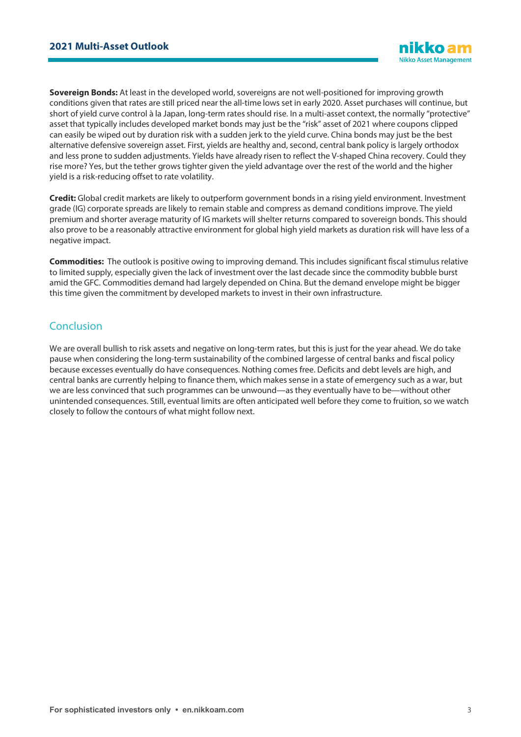**Sovereign Bonds:** At least in the developed world, sovereigns are not well-positioned for improving growth conditions given that rates are still priced near the all-time lows set in early 2020. Asset purchases will continue, but short of yield curve control à la Japan, long-term rates should rise. In a multi-asset context, the normally "protective" asset that typically includes developed market bonds may just be the "risk" asset of 2021 where coupons clipped can easily be wiped out by duration risk with a sudden jerk to the yield curve. China bonds may just be the best alternative defensive sovereign asset. First, yields are healthy and, second, central bank policy is largely orthodox and less prone to sudden adjustments. Yields have already risen to reflect the V-shaped China recovery. Could they rise more? Yes, but the tether grows tighter given the yield advantage over the rest of the world and the higher yield is a risk-reducing offset to rate volatility.

**Credit:** Global credit markets are likely to outperform government bonds in a rising yield environment. Investment grade (IG) corporate spreads are likely to remain stable and compress as demand conditions improve. The yield premium and shorter average maturity of IG markets will shelter returns compared to sovereign bonds. This should also prove to be a reasonably attractive environment for global high yield markets as duration risk will have less of a negative impact.

**Commodities:** The outlook is positive owing to improving demand. This includes significant fiscal stimulus relative to limited supply, especially given the lack of investment over the last decade since the commodity bubble burst amid the GFC. Commodities demand had largely depended on China. But the demand envelope might be bigger this time given the commitment by developed markets to invest in their own infrastructure.

## Conclusion

We are overall bullish to risk assets and negative on long-term rates, but this is just for the year ahead. We do take pause when considering the long-term sustainability of the combined largesse of central banks and fiscal policy because excesses eventually do have consequences. Nothing comes free. Deficits and debt levels are high, and central banks are currently helping to finance them, which makes sense in a state of emergency such as a war, but we are less convinced that such programmes can be unwound—as they eventually have to be—without other unintended consequences. Still, eventual limits are often anticipated well before they come to fruition, so we watch closely to follow the contours of what might follow next.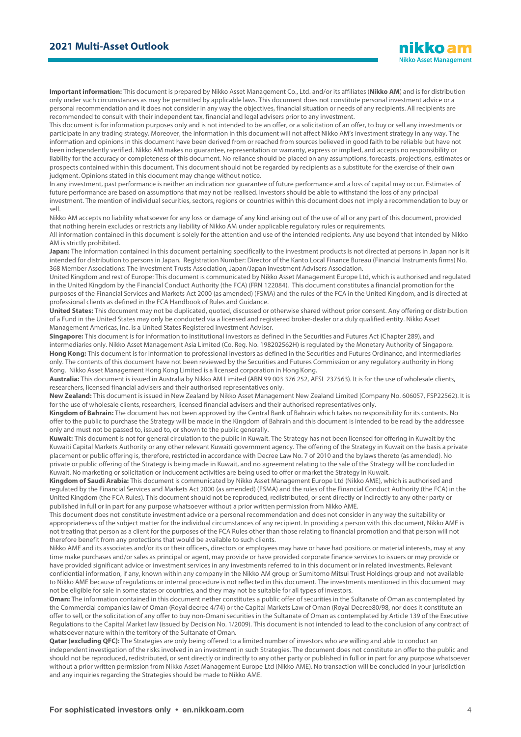**Important information:** This document is prepared by Nikko Asset Management Co., Ltd. and/or its affiliates (**Nikko AM**) and is for distribution only under such circumstances as may be permitted by applicable laws. This document does not constitute personal investment advice or a personal recommendation and it does not consider in any way the objectives, financial situation or needs of any recipients. All recipients are recommended to consult with their independent tax, financial and legal advisers prior to any investment.

This document is for information purposes only and is not intended to be an offer, or a solicitation of an offer, to buy or sell any investments or participate in any trading strategy. Moreover, the information in this document will not affect Nikko AM's investment strategy in any way. The information and opinions in this document have been derived from or reached from sources believed in good faith to be reliable but have not been independently verified. Nikko AM makes no guarantee, representation or warranty, express or implied, and accepts no responsibility or liability for the accuracy or completeness of this document. No reliance should be placed on any assumptions, forecasts, projections, estimates or prospects contained within this document. This document should not be regarded by recipients as a substitute for the exercise of their own judgment. Opinions stated in this document may change without notice.

In any investment, past performance is neither an indication nor guarantee of future performance and a loss of capital may occur. Estimates of future performance are based on assumptions that may not be realised. Investors should be able to withstand the loss of any principal investment. The mention of individual securities, sectors, regions or countries within this document does not imply a recommendation to buy or sell.

Nikko AM accepts no liability whatsoever for any loss or damage of any kind arising out of the use of all or any part of this document, provided that nothing herein excludes or restricts any liability of Nikko AM under applicable regulatory rules or requirements.

All information contained in this document is solely for the attention and use of the intended recipients. Any use beyond that intended by Nikko AM is strictly prohibited.

Japan: The information contained in this document pertaining specifically to the investment products is not directed at persons in Japan nor is it intended for distribution to persons in Japan. Registration Number: Director of the Kanto Local Finance Bureau (Financial Instruments firms) No. 368 Member Associations: The Investment Trusts Association, Japan/Japan Investment Advisers Association.

United Kingdom and rest of Europe: This document is communicated by Nikko Asset Management Europe Ltd, which is authorised and regulated in the United Kingdom by the Financial Conduct Authority (the FCA) (FRN 122084). This document constitutes a financial promotion for the purposes of the Financial Services and Markets Act 2000 (as amended) (FSMA) and the rules of the FCA in the United Kingdom, and is directed at professional clients as defined in the FCA Handbook of Rules and Guidance.

**United States:** This document may not be duplicated, quoted, discussed or otherwise shared without prior consent. Any offering or distribution of a Fund in the United States may only be conducted via a licensed and registered broker-dealer or a duly qualified entity. Nikko Asset Management Americas, Inc. is a United States Registered Investment Adviser.

**Singapore:** This document is for information to institutional investors as defined in the Securities and Futures Act (Chapter 289), and intermediaries only. Nikko Asset Management Asia Limited (Co. Reg. No. 198202562H) is regulated by the Monetary Authority of Singapore. **Hong Kong:** This document is for information to professional investors as defined in the Securities and Futures Ordinance, and intermediaries only. The contents of this document have not been reviewed by the Securities and Futures Commission or any regulatory authority in Hong Kong. Nikko Asset Management Hong Kong Limited is a licensed corporation in Hong Kong.

**Australia:** This document is issued in Australia by Nikko AM Limited (ABN 99 003 376 252, AFSL 237563). It is for the use of wholesale clients, researchers, licensed financial advisers and their authorised representatives only.

**New Zealand:** This document is issued in New Zealand by Nikko Asset Management New Zealand Limited (Company No. 606057, FSP22562). It is for the use of wholesale clients, researchers, licensed financial advisers and their authorised representatives only.

**Kingdom of Bahrain:** The document has not been approved by the Central Bank of Bahrain which takes no responsibility for its contents. No offer to the public to purchase the Strategy will be made in the Kingdom of Bahrain and this document is intended to be read by the addressee only and must not be passed to, issued to, or shown to the public generally.

**Kuwait:** This document is not for general circulation to the public in Kuwait. The Strategy has not been licensed for offering in Kuwait by the Kuwaiti Capital Markets Authority or any other relevant Kuwaiti government agency. The offering of the Strategy in Kuwait on the basis a private placement or public offering is, therefore, restricted in accordance with Decree Law No. 7 of 2010 and the bylaws thereto (as amended). No private or public offering of the Strategy is being made in Kuwait, and no agreement relating to the sale of the Strategy will be concluded in Kuwait. No marketing or solicitation or inducement activities are being used to offer or market the Strategy in Kuwait.

**Kingdom of Saudi Arabia:** This document is communicated by Nikko Asset Management Europe Ltd (Nikko AME), which is authorised and regulated by the Financial Services and Markets Act 2000 (as amended) (FSMA) and the rules of the Financial Conduct Authority (the FCA) in the United Kingdom (the FCA Rules). This document should not be reproduced, redistributed, or sent directly or indirectly to any other party or published in full or in part for any purpose whatsoever without a prior written permission from Nikko AME.

This document does not constitute investment advice or a personal recommendation and does not consider in any way the suitability or appropriateness of the subject matter for the individual circumstances of any recipient. In providing a person with this document, Nikko AME is not treating that person as a client for the purposes of the FCA Rules other than those relating to financial promotion and that person will not therefore benefit from any protections that would be available to such clients.

Nikko AME and its associates and/or its or their officers, directors or employees may have or have had positions or material interests, may at any time make purchases and/or sales as principal or agent, may provide or have provided corporate finance services to issuers or may provide or have provided significant advice or investment services in any investments referred to in this document or in related investments. Relevant confidential information, if any, known within any company in the Nikko AM group or Sumitomo Mitsui Trust Holdings group and not available to Nikko AME because of regulations or internal procedure is not reflected in this document. The investments mentioned in this document may not be eligible for sale in some states or countries, and they may not be suitable for all types of investors.

**Oman:** The information contained in this document nether constitutes a public offer of securities in the Sultanate of Oman as contemplated by the Commercial companies law of Oman (Royal decree 4/74) or the Capital Markets Law of Oman (Royal Decree80/98, nor does it constitute an offer to sell, or the solicitation of any offer to buy non-Omani securities in the Sultanate of Oman as contemplated by Article 139 of the Executive Regulations to the Capital Market law (issued by Decision No. 1/2009). This document is not intended to lead to the conclusion of any contract of whatsoever nature within the territory of the Sultanate of Oman.

**Qatar (excluding QFC):** The Strategies are only being offered to a limited number of investors who are willing and able to conduct an independent investigation of the risks involved in an investment in such Strategies. The document does not constitute an offer to the public and should not be reproduced, redistributed, or sent directly or indirectly to any other party or published in full or in part for any purpose whatsoever without a prior written permission from Nikko Asset Management Europe Ltd (Nikko AME). No transaction will be concluded in your jurisdiction and any inquiries regarding the Strategies should be made to Nikko AME.